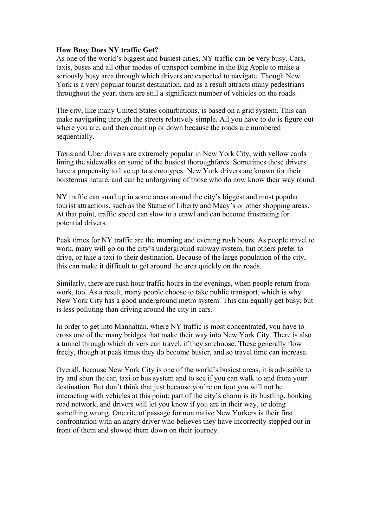## **How Busy Does NY traffic Get?**

As one of the world's biggest and busiest cities, NY traffic can be very busy. Cars, taxis, buses and all other modes of transport combine in the Big Apple to make a seriously busy area through which drivers are expected to navigate. Though New York is a very popular tourist destination, and as a result attracts many pedestrians throughout the year, there are still a significant number of vehicles on the roads.

The city, like many United States conurbations, is based on a grid system. This can make navigating through the streets relatively simple. All you have to do is figure out where you are, and then count up or down because the roads are numbered sequentially.

Taxis and Uber drivers are extremely popular in New York City, with yellow cards lining the sidewalks on some of the busiest thoroughfares. Sometimes these drivers have a propensity to live up to stereotypes: New York drivers are known for their boisterous nature, and can be unforgiving of those who do now know their way round.

NY traffic can snarl up in some areas around the city's biggest and most popular tourist attractions, such as the Statue of Liberty and Macy's or other shopping areas. At that point, traffic speed can slow to a crawl and can become frustrating for potential drivers.

Peak times for NY traffic are the morning and evening rush hours. As people travel to work, many will go on the city's underground subway system, but others prefer to drive, or take a taxi to their destination. Because of the large population of the city, this can make it difficult to get around the area quickly on the roads.

Similarly, there are rush hour traffic hours in the evenings, when people return from work, too. As a result, many people choose to take public transport, which is why New York City has a good underground metro system. This can equally get busy, but is less polluting than driving around the city in cars.

In order to get into Manhattan, where NY traffic is most concentrated, you have to cross one of the many bridges that make their way into New York City. There is also a tunnel through which drivers can travel, if they so choose. These generally flow freely, though at peak times they do become busier, and so travel time can increase.

Overall, because New York City is one of the world's busiest areas, it is advisable to try and shun the car, taxi or bus system and to see if you can walk to and from your destination. But don't think that just because you're on foot you will not be interacting with vehicles at this point: part of the city's charm is its bustling, honking road network, and drivers will let you know if you are in their way, or doing something wrong. One rite of passage for non native New Yorkers is their first confrontation with an angry driver who believes they have incorrectly stepped out in front of them and slowed them down on their journey.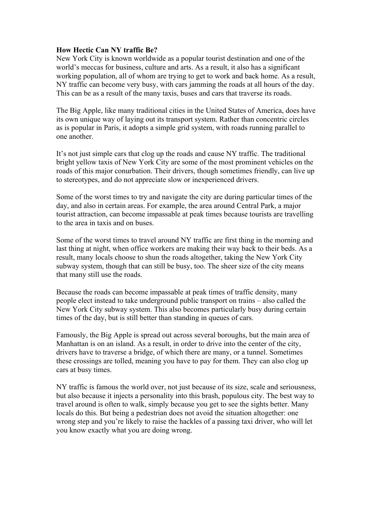## **How Hectic Can NY traffic Be?**

New York City is known worldwide as a popular tourist destination and one of the world's meccas for business, culture and arts. As a result, it also has a significant working population, all of whom are trying to get to work and back home. As a result, NY traffic can become very busy, with cars jamming the roads at all hours of the day. This can be as a result of the many taxis, buses and cars that traverse its roads.

The Big Apple, like many traditional cities in the United States of America, does have its own unique way of laying out its transport system. Rather than concentric circles as is popular in Paris, it adopts a simple grid system, with roads running parallel to one another.

It's not just simple cars that clog up the roads and cause NY traffic. The traditional bright yellow taxis of New York City are some of the most prominent vehicles on the roads of this major conurbation. Their drivers, though sometimes friendly, can live up to stereotypes, and do not appreciate slow or inexperienced drivers.

Some of the worst times to try and navigate the city are during particular times of the day, and also in certain areas. For example, the area around Central Park, a major tourist attraction, can become impassable at peak times because tourists are travelling to the area in taxis and on buses.

Some of the worst times to travel around NY traffic are first thing in the morning and last thing at night, when office workers are making their way back to their beds. As a result, many locals choose to shun the roads altogether, taking the New York City subway system, though that can still be busy, too. The sheer size of the city means that many still use the roads.

Because the roads can become impassable at peak times of traffic density, many people elect instead to take underground public transport on trains – also called the New York City subway system. This also becomes particularly busy during certain times of the day, but is still better than standing in queues of cars.

Famously, the Big Apple is spread out across several boroughs, but the main area of Manhattan is on an island. As a result, in order to drive into the center of the city, drivers have to traverse a bridge, of which there are many, or a tunnel. Sometimes these crossings are tolled, meaning you have to pay for them. They can also clog up cars at busy times.

NY traffic is famous the world over, not just because of its size, scale and seriousness, but also because it injects a personality into this brash, populous city. The best way to travel around is often to walk, simply because you get to see the sights better. Many locals do this. But being a pedestrian does not avoid the situation altogether: one wrong step and you're likely to raise the hackles of a passing taxi driver, who will let you know exactly what you are doing wrong.